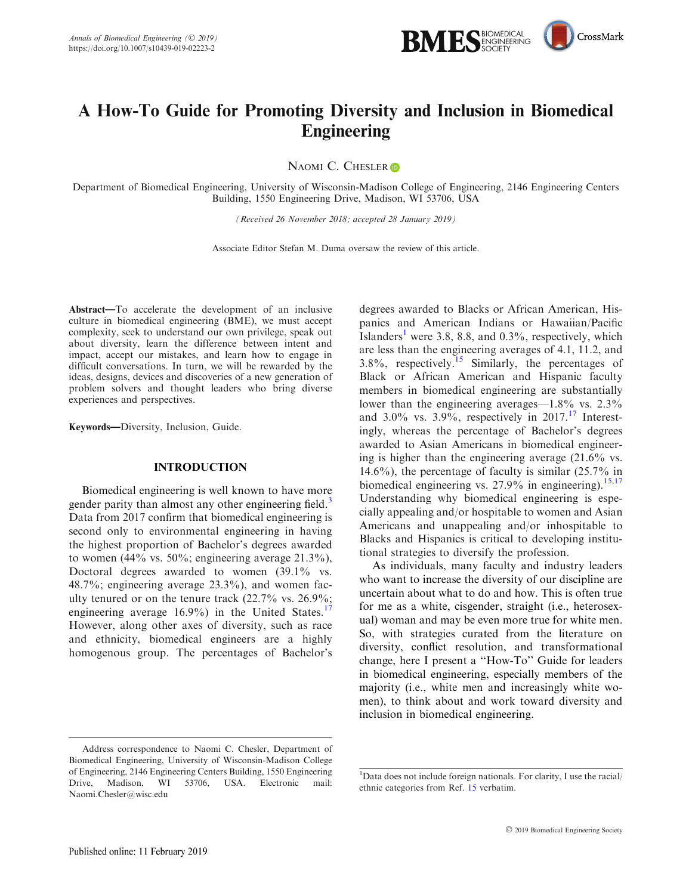

# A How-To Guide for Promoting Diversity and Inclusion in Biomedical Engineering

NAOMI C. CHESLER<sup>D</sup>

Department of Biomedical Engineering, University of Wisconsin-Madison College of Engineering, 2146 Engineering Centers Building, 1550 Engineering Drive, Madison, WI 53706, USA

(Received 26 November 2018; accepted 28 January 2019)

Associate Editor Stefan M. Duma oversaw the review of this article.

Abstract—To accelerate the development of an inclusive culture in biomedical engineering (BME), we must accept complexity, seek to understand our own privilege, speak out about diversity, learn the difference between intent and impact, accept our mistakes, and learn how to engage in difficult conversations. In turn, we will be rewarded by the ideas, designs, devices and discoveries of a new generation of problem solvers and thought leaders who bring diverse experiences and perspectives.

Keywords—Diversity, Inclusion, Guide.

#### INTRODUCTION

Biomedical engineering is well known to have more gender parity than almost any other engineering field.<sup>3</sup> Data from 2017 confirm that biomedical engineering is second only to environmental engineering in having the highest proportion of Bachelor's degrees awarded to women (44% vs. 50%; engineering average 21.3%), Doctoral degrees awarded to women (39.1% vs. 48.7%; engineering average 23.3%), and women faculty tenured or on the tenure track (22.7% vs. 26.9%; engineering average  $16.9\%$ ) in the United States.<sup>17</sup> However, along other axes of diversity, such as race and ethnicity, biomedical engineers are a highly homogenous group. The percentages of Bachelor's

degrees awarded to Blacks or African American, Hispanics and American Indians or Hawaiian/Pacific Islanders<sup>1</sup> were 3.8, 8.8, and  $0.3\%$ , respectively, which are less than the engineering averages of 4.1, 11.2, and  $3.8\%$ , respectively.<sup>15</sup> Similarly, the percentages of Black or African American and Hispanic faculty members in biomedical engineering are substantially lower than the engineering averages—1.8% vs. 2.3% and  $3.0\%$  vs.  $3.9\%$ , respectively in  $2017$ .<sup>17</sup> Interestingly, whereas the percentage of Bachelor's degrees awarded to Asian Americans in biomedical engineering is higher than the engineering average (21.6% vs. 14.6%), the percentage of faculty is similar (25.7% in biomedical engineering vs.  $27.9\%$  in engineering).<sup>15,17</sup> Understanding why biomedical engineering is especially appealing and/or hospitable to women and Asian Americans and unappealing and/or inhospitable to Blacks and Hispanics is critical to developing institutional strategies to diversify the profession.

As individuals, many faculty and industry leaders who want to increase the diversity of our discipline are uncertain about what to do and how. This is often true for me as a white, cisgender, straight (i.e., heterosexual) woman and may be even more true for white men. So, with strategies curated from the literature on diversity, conflict resolution, and transformational change, here I present a ''How-To'' Guide for leaders in biomedical engineering, especially members of the majority (i.e., white men and increasingly white women), to think about and work toward diversity and inclusion in biomedical engineering.

Address correspondence to Naomi C. Chesler, Department of Biomedical Engineering, University of Wisconsin-Madison College of Engineering, 2146 Engineering Centers Building, 1550 Engineering Drive, Madison, WI 53706, USA. Electronic mail: Naomi.Chesler@wisc.edu

<sup>&</sup>lt;sup>1</sup>Data does not include foreign nationals. For clarity, I use the racial/ ethnic categories from Ref. 15 verbatim.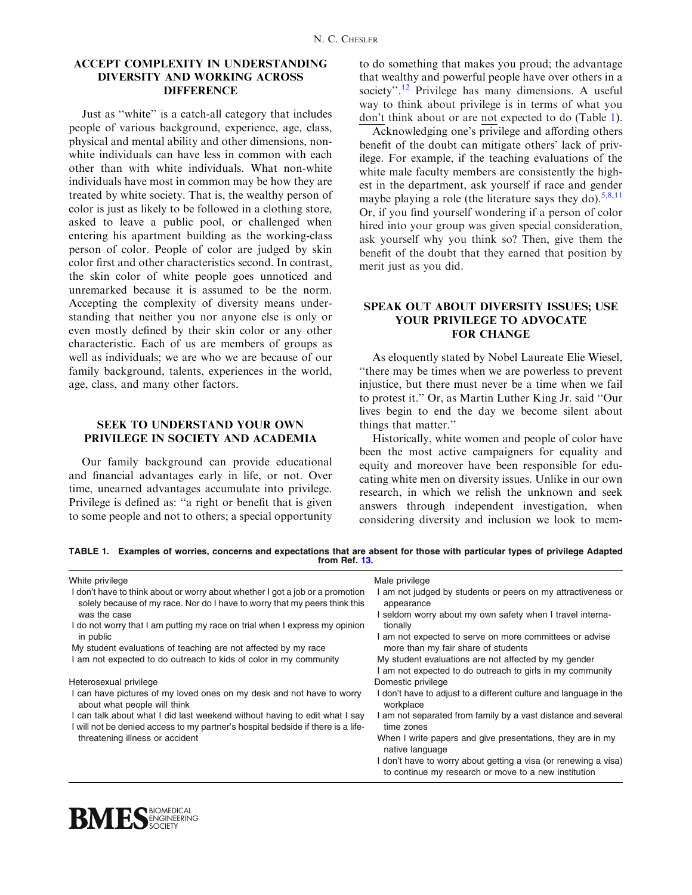# ACCEPT COMPLEXITY IN UNDERSTANDING DIVERSITY AND WORKING ACROSS DIFFERENCE

Just as ''white'' is a catch-all category that includes people of various background, experience, age, class, physical and mental ability and other dimensions, nonwhite individuals can have less in common with each other than with white individuals. What non-white individuals have most in common may be how they are treated by white society. That is, the wealthy person of color is just as likely to be followed in a clothing store, asked to leave a public pool, or challenged when entering his apartment building as the working-class person of color. People of color are judged by skin color first and other characteristics second. In contrast, the skin color of white people goes unnoticed and unremarked because it is assumed to be the norm. Accepting the complexity of diversity means understanding that neither you nor anyone else is only or even mostly defined by their skin color or any other characteristic. Each of us are members of groups as well as individuals; we are who we are because of our family background, talents, experiences in the world, age, class, and many other factors.

# SEEK TO UNDERSTAND YOUR OWN PRIVILEGE IN SOCIETY AND ACADEMIA

Our family background can provide educational and financial advantages early in life, or not. Over time, unearned advantages accumulate into privilege. Privilege is defined as: ''a right or benefit that is given to some people and not to others; a special opportunity to do something that makes you proud; the advantage that wealthy and powerful people have over others in a society".<sup>12</sup> Privilege has many dimensions. A useful way to think about privilege is in terms of what you don't think about or are not expected to do (Table 1).

Acknowledging one's privilege and affording others benefit of the doubt can mitigate others' lack of privilege. For example, if the teaching evaluations of the white male faculty members are consistently the highest in the department, ask yourself if race and gender maybe playing a role (the literature says they do).<sup>5,8,11</sup> Or, if you find yourself wondering if a person of color hired into your group was given special consideration, ask yourself why you think so? Then, give them the benefit of the doubt that they earned that position by merit just as you did.

# SPEAK OUT ABOUT DIVERSITY ISSUES; USE YOUR PRIVILEGE TO ADVOCATE FOR CHANGE

As eloquently stated by Nobel Laureate Elie Wiesel, ''there may be times when we are powerless to prevent injustice, but there must never be a time when we fail to protest it.'' Or, as Martin Luther King Jr. said ''Our lives begin to end the day we become silent about things that matter.''

Historically, white women and people of color have been the most active campaigners for equality and equity and moreover have been responsible for educating white men on diversity issues. Unlike in our own research, in which we relish the unknown and seek answers through independent investigation, when considering diversity and inclusion we look to mem-

TABLE 1. Examples of worries, concerns and expectations that are absent for those with particular types of privilege Adapted from Ref. 13.

| White privilege                                                                                                                                                             | Male privilege                                                                                                                        |
|-----------------------------------------------------------------------------------------------------------------------------------------------------------------------------|---------------------------------------------------------------------------------------------------------------------------------------|
| I don't have to think about or worry about whether I got a job or a promotion<br>solely because of my race. Nor do I have to worry that my peers think this<br>was the case | am not judged by students or peers on my attractiveness or<br>appearance<br>I seldom worry about my own safety when I travel interna- |
| I do not worry that I am putting my race on trial when I express my opinion                                                                                                 | tionally                                                                                                                              |
| in public<br>My student evaluations of teaching are not affected by my race                                                                                                 | am not expected to serve on more committees or advise<br>more than my fair share of students                                          |
| I am not expected to do outreach to kids of color in my community                                                                                                           | My student evaluations are not affected by my gender<br>I am not expected to do outreach to girls in my community                     |
| Heterosexual privilege                                                                                                                                                      | Domestic privilege                                                                                                                    |
| I can have pictures of my loved ones on my desk and not have to worry<br>about what people will think                                                                       | I don't have to adjust to a different culture and language in the<br>workplace                                                        |
| I can talk about what I did last weekend without having to edit what I say<br>I will not be denied access to my partner's hospital bedside if there is a life-              | am not separated from family by a vast distance and several<br>time zones                                                             |
| threatening illness or accident                                                                                                                                             | When I write papers and give presentations, they are in my<br>native language                                                         |
|                                                                                                                                                                             | I don't have to worry about getting a visa (or renewing a visa)<br>to continue my research or move to a new institution               |

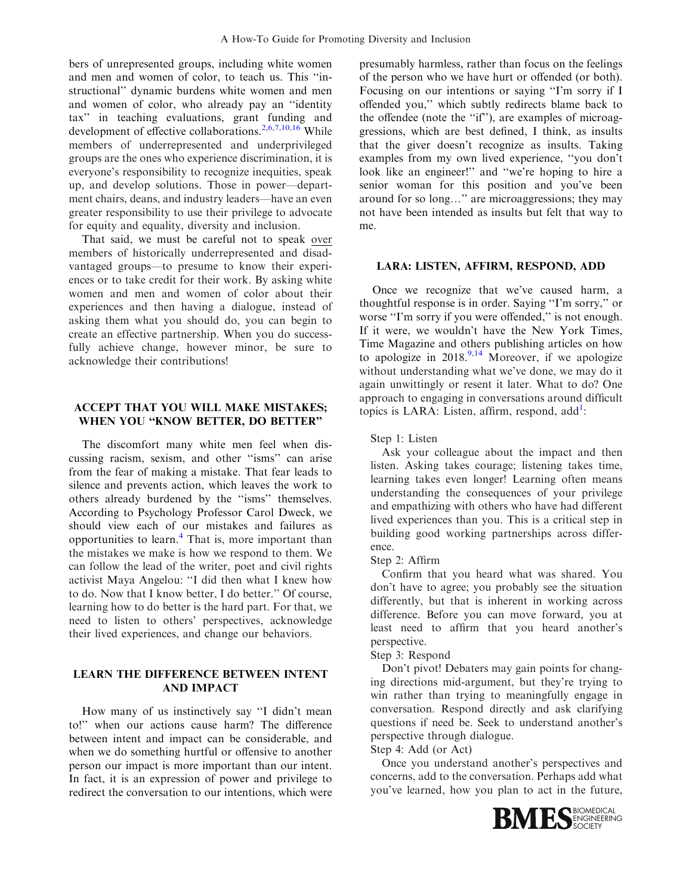bers of unrepresented groups, including white women and men and women of color, to teach us. This ''instructional'' dynamic burdens white women and men and women of color, who already pay an ''identity tax'' in teaching evaluations, grant funding and development of effective collaborations.<sup>2,6,7,10,16</sup> While members of underrepresented and underprivileged groups are the ones who experience discrimination, it is everyone's responsibility to recognize inequities, speak up, and develop solutions. Those in power—department chairs, deans, and industry leaders—have an even greater responsibility to use their privilege to advocate for equity and equality, diversity and inclusion.

That said, we must be careful not to speak over members of historically underrepresented and disadvantaged groups—to presume to know their experiences or to take credit for their work. By asking white women and men and women of color about their experiences and then having a dialogue, instead of asking them what you should do, you can begin to create an effective partnership. When you do successfully achieve change, however minor, be sure to acknowledge their contributions!

## ACCEPT THAT YOU WILL MAKE MISTAKES; WHEN YOU ''KNOW BETTER, DO BETTER''

The discomfort many white men feel when discussing racism, sexism, and other ''isms'' can arise from the fear of making a mistake. That fear leads to silence and prevents action, which leaves the work to others already burdened by the ''isms'' themselves. According to Psychology Professor Carol Dweck, we should view each of our mistakes and failures as opportunities to learn. $<sup>4</sup>$  That is, more important than</sup> the mistakes we make is how we respond to them. We can follow the lead of the writer, poet and civil rights activist Maya Angelou: ''I did then what I knew how to do. Now that I know better, I do better.'' Of course, learning how to do better is the hard part. For that, we need to listen to others' perspectives, acknowledge their lived experiences, and change our behaviors.

## LEARN THE DIFFERENCE BETWEEN INTENT AND IMPACT

How many of us instinctively say ''I didn't mean to!'' when our actions cause harm? The difference between intent and impact can be considerable, and when we do something hurtful or offensive to another person our impact is more important than our intent. In fact, it is an expression of power and privilege to redirect the conversation to our intentions, which were

presumably harmless, rather than focus on the feelings of the person who we have hurt or offended (or both). Focusing on our intentions or saying ''I'm sorry if I offended you,'' which subtly redirects blame back to the offendee (note the ''if''), are examples of microaggressions, which are best defined, I think, as insults that the giver doesn't recognize as insults. Taking examples from my own lived experience, ''you don't look like an engineer!'' and ''we're hoping to hire a senior woman for this position and you've been around for so long…'' are microaggressions; they may not have been intended as insults but felt that way to me.

#### LARA: LISTEN, AFFIRM, RESPOND, ADD

Once we recognize that we've caused harm, a thoughtful response is in order. Saying ''I'm sorry,'' or worse "I'm sorry if you were offended," is not enough. If it were, we wouldn't have the New York Times, Time Magazine and others publishing articles on how to apologize in  $2018^{9,14}$  Moreover, if we apologize without understanding what we've done, we may do it again unwittingly or resent it later. What to do? One approach to engaging in conversations around difficult topics is LARA: Listen, affirm, respond,  $add<sup>1</sup>$ :

Step 1: Listen

Ask your colleague about the impact and then listen. Asking takes courage; listening takes time, learning takes even longer! Learning often means understanding the consequences of your privilege and empathizing with others who have had different lived experiences than you. This is a critical step in building good working partnerships across difference.

## Step 2: Affirm

Confirm that you heard what was shared. You don't have to agree; you probably see the situation differently, but that is inherent in working across difference. Before you can move forward, you at least need to affirm that you heard another's perspective.

## Step 3: Respond

Don't pivot! Debaters may gain points for changing directions mid-argument, but they're trying to win rather than trying to meaningfully engage in conversation. Respond directly and ask clarifying questions if need be. Seek to understand another's perspective through dialogue.

#### Step 4: Add (or Act)

Once you understand another's perspectives and concerns, add to the conversation. Perhaps add what you've learned, how you plan to act in the future,